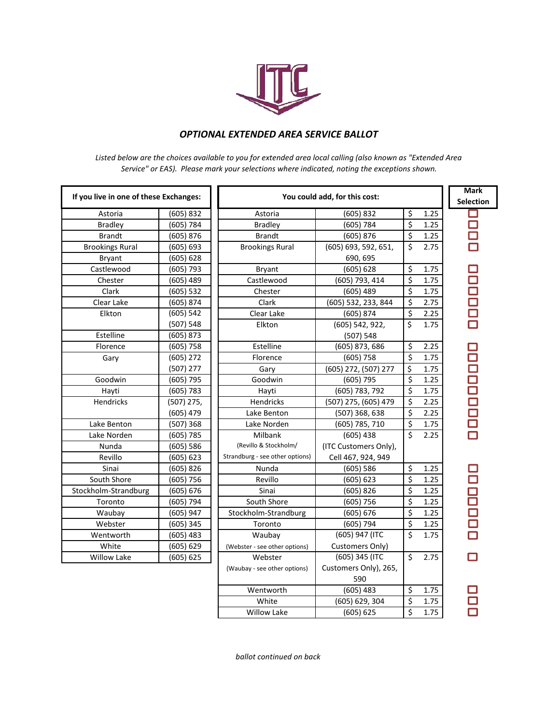

## *OPTIONAL EXTENDED AREA SERVICE BALLOT*

*Listed below are the choices available to you for extended area local calling (also known as "Extended Area Service" or EAS). Please mark your selections where indicated, noting the exceptions shown.*

| If you live in one of these Exchanges: |              | You could add, for this cost:   |                       |                  |      | <b>Mark</b><br><b>Selection</b> |
|----------------------------------------|--------------|---------------------------------|-----------------------|------------------|------|---------------------------------|
| Astoria                                | (605) 832    | Astoria                         | (605) 832             | \$               | 1.25 | П                               |
| <b>Bradley</b>                         | (605) 784    | <b>Bradley</b>                  | (605) 784             | \$               | 1.25 |                                 |
| <b>Brandt</b>                          | (605) 876    | <b>Brandt</b>                   | (605) 876             | \$               | 1.25 |                                 |
| <b>Brookings Rural</b>                 | (605) 693    | <b>Brookings Rural</b>          | (605) 693, 592, 651,  | \$               | 2.75 |                                 |
| Bryant                                 | (605) 628    |                                 | 690, 695              |                  |      |                                 |
| Castlewood                             | $(605)$ 793  | Bryant                          | (605) 628             | \$               | 1.75 |                                 |
| Chester                                | $(605)$ 489  | Castlewood                      | (605) 793, 414        | $\overline{\xi}$ | 1.75 | 80000                           |
| Clark                                  | (605) 532    | Chester                         | $(605)$ 489           | \$               | 1.75 |                                 |
| Clear Lake                             | (605) 874    | Clark                           | (605) 532, 233, 844   | \$               | 2.75 |                                 |
| Elkton                                 | (605) 542    | Clear Lake                      | (605) 874             | \$               | 2.25 |                                 |
|                                        | (507) 548    | Elkton                          | (605) 542, 922,       | \$               | 1.75 |                                 |
| Estelline                              | (605) 873    |                                 | (507) 548             |                  |      |                                 |
| Florence                               | $(605)$ 758  | Estelline                       | (605) 873, 686        | Ś                | 2.25 |                                 |
| Gary                                   | $(605)$ 272  | Florence                        | $(605)$ 758           | \$               | 1.75 | 10000000                        |
|                                        | $(507)$ 277  | Gary                            | (605) 272, (507) 277  | \$               | 1.75 |                                 |
| Goodwin                                | $(605)$ 795  | Goodwin                         | $(605)$ 795           | \$               | 1.25 |                                 |
| Hayti                                  | (605) 783    | Hayti                           | (605) 783, 792        | \$               | 1.75 |                                 |
| Hendricks                              | $(507)$ 275, | Hendricks                       | (507) 275, (605) 479  | \$               | 2.25 |                                 |
|                                        | $(605)$ 479  | Lake Benton                     | (507) 368, 638        | \$               | 2.25 |                                 |
| Lake Benton                            | (507) 368    | Lake Norden                     | (605) 785, 710        | \$               | 1.75 |                                 |
| Lake Norden                            | (605) 785    | Milbank                         | $(605)$ 438           | Ś.               | 2.25 |                                 |
| Nunda                                  | (605) 586    | (Revillo & Stockholm/           | (ITC Customers Only), |                  |      |                                 |
| Revillo                                | (605) 623    | Strandburg - see other options) | Cell 467, 924, 949    |                  |      |                                 |
| Sinai                                  | (605) 826    | Nunda                           | (605) 586             | \$               | 1.25 |                                 |
| South Shore                            | (605) 756    | Revillo                         | (605) 623             | \$               | 1.25 |                                 |
| Stockholm-Strandburg                   | (605) 676    | Sinai                           | (605) 826             | \$               | 1.25 | 10000n                          |
| Toronto                                | $(605)$ 794  | South Shore                     | (605) 756             | \$               | 1.25 |                                 |
| Waubay                                 | (605) 947    | Stockholm-Strandburg            | (605) 676             | \$               | 1.25 |                                 |
| Webster                                | $(605)$ 345  | Toronto                         | $(605)$ 794           | \$               | 1.25 |                                 |
| Wentworth                              | (605) 483    | Waubay                          | (605) 947 (ITC        | Ś.               | 1.75 |                                 |
| White                                  | (605) 629    | (Webster - see other options)   | Customers Only)       |                  |      |                                 |
| <b>Willow Lake</b>                     | (605) 625    | Webster                         | (605) 345 (ITC        | Ś.               | 2.75 | $\Box$                          |
|                                        |              | (Waubay - see other options)    | Customers Only), 265, |                  |      |                                 |
|                                        |              |                                 | 590                   |                  |      |                                 |
|                                        |              | Wentworth                       | $(605)$ 483           | \$               | 1.75 |                                 |
|                                        |              | White                           | (605) 629, 304        | \$               | 1.75 |                                 |
|                                        |              | <b>Willow Lake</b>              | (605) 625             | \$               | 1.75 |                                 |